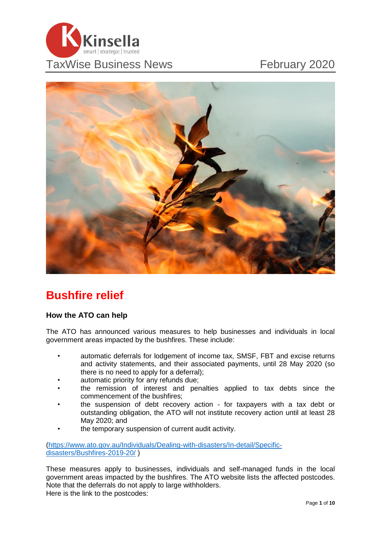



## **Bushfire relief**

#### **How the ATO can help**

The ATO has announced various measures to help businesses and individuals in local government areas impacted by the bushfires. These include:

- automatic deferrals for lodgement of income tax, SMSF, FBT and excise returns and activity statements, and their associated payments, until 28 May 2020 (so there is no need to apply for a deferral);
- automatic priority for any refunds due;
- the remission of interest and penalties applied to tax debts since the commencement of the bushfires;
- the suspension of debt recovery action for taxpayers with a tax debt or outstanding obligation, the ATO will not institute recovery action until at least 28 May 2020; and
- the temporary suspension of current audit activity.

[\(https://www.ato.gov.au/Individuals/Dealing-with-disasters/In-detail/Specific](https://www.ato.gov.au/Individuals/Dealing-with-disasters/In-detail/Specific-disasters/Bushfires-2019-20/)[disasters/Bushfires-2019-20/](https://www.ato.gov.au/Individuals/Dealing-with-disasters/In-detail/Specific-disasters/Bushfires-2019-20/) )

These measures apply to businesses, individuals and self-managed funds in the local government areas impacted by the bushfires. The ATO website lists the affected postcodes. Note that the deferrals do not apply to large withholders. Here is the link to the postcodes: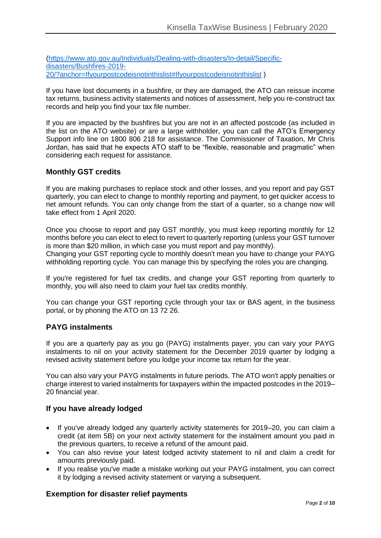[\(https://www.ato.gov.au/Individuals/Dealing-with-disasters/In-detail/Specific](https://www.ato.gov.au/Individuals/Dealing-with-disasters/In-detail/Specific-disasters/Bushfires-2019-20/?anchor=Ifyourpostcodeisnotinthislist#Ifyourpostcodeisnotinthislist)[disasters/Bushfires-2019-](https://www.ato.gov.au/Individuals/Dealing-with-disasters/In-detail/Specific-disasters/Bushfires-2019-20/?anchor=Ifyourpostcodeisnotinthislist#Ifyourpostcodeisnotinthislist) [20/?anchor=Ifyourpostcodeisnotinthislist#Ifyourpostcodeisnotinthislist](https://www.ato.gov.au/Individuals/Dealing-with-disasters/In-detail/Specific-disasters/Bushfires-2019-20/?anchor=Ifyourpostcodeisnotinthislist#Ifyourpostcodeisnotinthislist) )

If you have lost documents in a bushfire, or they are damaged, the ATO can reissue income tax returns, business activity statements and notices of assessment, help you re-construct tax records and help you find your tax file number.

If you are impacted by the bushfires but you are not in an affected postcode (as included in the list on the ATO website) or are a large withholder, you can call the ATO's Emergency Support info line on 1800 806 218 for assistance. The Commissioner of Taxation, Mr Chris Jordan, has said that he expects ATO staff to be "flexible, reasonable and pragmatic" when considering each request for assistance.

### **Monthly GST credits**

If you are making purchases to replace stock and other losses, and you report and pay GST quarterly, you can elect to change to monthly reporting and payment, to get quicker access to net amount refunds. You can only change from the start of a quarter, so a change now will take effect from 1 April 2020.

Once you choose to report and pay GST monthly, you must keep reporting monthly for 12 months before you can elect to elect to revert to quarterly reporting (unless your GST turnover is more than \$20 million, in which case you must report and pay monthly).

Changing your GST reporting cycle to monthly doesn't mean you have to change your PAYG withholding reporting cycle. You can manage this by specifying the roles you are changing.

If you're registered for fuel tax credits, and change your GST reporting from quarterly to monthly, you will also need to claim your fuel tax credits monthly.

You can change your GST reporting cycle through your tax or BAS agent, in the business portal, or by phoning the ATO on 13 72 26.

#### **PAYG instalments**

If you are a quarterly pay as you go (PAYG) instalments payer, you can vary your PAYG instalments to nil on your activity statement for the December 2019 quarter by lodging a revised activity statement before you lodge your income tax return for the year.

You can also vary your PAYG instalments in future periods. The ATO won't apply penalties or charge interest to varied instalments for taxpayers within the impacted postcodes in the 2019– 20 financial year.

#### **If you have already lodged**

- If you've already lodged any quarterly activity statements for 2019–20, you can claim a credit (at item 5B) on your next activity statement for the instalment amount you paid in the previous quarters, to receive a refund of the amount paid.
- You can also revise your latest lodged activity statement to nil and claim a credit for amounts previously paid.
- If you realise you've made a mistake working out your PAYG instalment, you can correct it by lodging a revised activity statement or varying a subsequent.

#### **Exemption for disaster relief payments**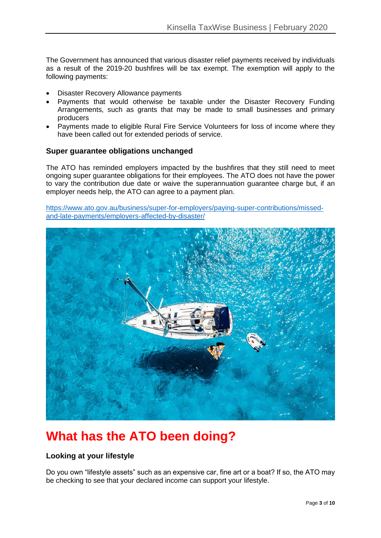The Government has announced that various disaster relief payments received by individuals as a result of the 2019-20 bushfires will be tax exempt. The exemption will apply to the following payments:

- Disaster Recovery Allowance payments
- Payments that would otherwise be taxable under the Disaster Recovery Funding Arrangements, such as grants that may be made to small businesses and primary producers
- Payments made to eligible Rural Fire Service Volunteers for loss of income where they have been called out for extended periods of service.

#### **Super guarantee obligations unchanged**

The ATO has reminded employers impacted by the bushfires that they still need to meet ongoing super guarantee obligations for their employees. The ATO does not have the power to vary the contribution due date or waive the superannuation guarantee charge but, if an employer needs help, the ATO can agree to a payment plan.

[https://www.ato.gov.au/business/super-for-employers/paying-super-contributions/missed](https://www.ato.gov.au/business/super-for-employers/paying-super-contributions/missed-and-late-payments/employers-affected-by-disaster/)[and-late-payments/employers-affected-by-disaster/](https://www.ato.gov.au/business/super-for-employers/paying-super-contributions/missed-and-late-payments/employers-affected-by-disaster/)



# **What has the ATO been doing?**

#### **Looking at your lifestyle**

Do you own "lifestyle assets" such as an expensive car, fine art or a boat? If so, the ATO may be checking to see that your declared income can support your lifestyle.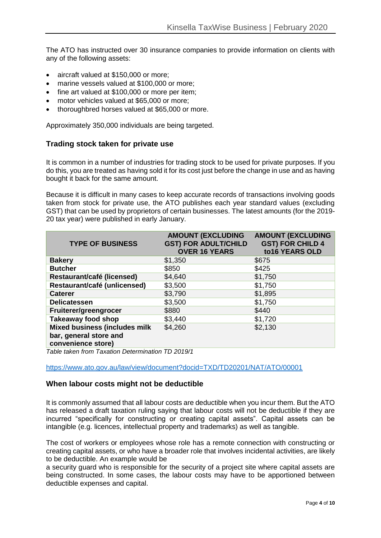The ATO has instructed over 30 insurance companies to provide information on clients with any of the following assets:

- aircraft valued at \$150,000 or more;
- marine vessels valued at \$100,000 or more;
- fine art valued at \$100,000 or more per item;
- motor vehicles valued at \$65,000 or more;
- thoroughbred horses valued at \$65,000 or more.

Approximately 350,000 individuals are being targeted.

#### **Trading stock taken for private use**

It is common in a number of industries for trading stock to be used for private purposes. If you do this, you are treated as having sold it for its cost just before the change in use and as having bought it back for the same amount.

Because it is difficult in many cases to keep accurate records of transactions involving goods taken from stock for private use, the ATO publishes each year standard values (excluding GST) that can be used by proprietors of certain businesses. The latest amounts (for the 2019- 20 tax year) were published in early January.

| <b>TYPE OF BUSINESS</b>                    | <b>AMOUNT (EXCLUDING</b><br><b>GST) FOR ADULT/CHILD</b><br><b>OVER 16 YEARS</b> | <b>AMOUNT (EXCLUDING</b><br><b>GST) FOR CHILD 4</b><br>to16 YEARS OLD |
|--------------------------------------------|---------------------------------------------------------------------------------|-----------------------------------------------------------------------|
| <b>Bakery</b>                              | \$1,350                                                                         | \$675                                                                 |
| <b>Butcher</b>                             | \$850                                                                           | \$425                                                                 |
| Restaurant/café (licensed)                 | \$4,640                                                                         | \$1,750                                                               |
| Restaurant/café (unlicensed)               | \$3,500                                                                         | \$1,750                                                               |
| <b>Caterer</b>                             | \$3,790                                                                         | \$1,895                                                               |
| <b>Delicatessen</b>                        | \$3,500                                                                         | \$1,750                                                               |
| Fruiterer/greengrocer                      | \$880                                                                           | \$440                                                                 |
| <b>Takeaway food shop</b>                  | \$3,440                                                                         | \$1,720                                                               |
| <b>Mixed business (includes milk</b>       | \$4,260                                                                         | \$2,130                                                               |
| bar, general store and                     |                                                                                 |                                                                       |
| convenience store)<br>$\sim$ $\sim$ $\sim$ |                                                                                 |                                                                       |

*Table taken from Taxation Determination TD 2019/1*

<https://www.ato.gov.au/law/view/document?docid=TXD/TD20201/NAT/ATO/00001>

#### **When labour costs might not be deductible**

It is commonly assumed that all labour costs are deductible when you incur them. But the ATO has released a draft taxation ruling saying that labour costs will not be deductible if they are incurred "specifically for constructing or creating capital assets". Capital assets can be intangible (e.g. licences, intellectual property and trademarks) as well as tangible.

The cost of workers or employees whose role has a remote connection with constructing or creating capital assets, or who have a broader role that involves incidental activities, are likely to be deductible. An example would be

a security guard who is responsible for the security of a project site where capital assets are being constructed. In some cases, the labour costs may have to be apportioned between deductible expenses and capital.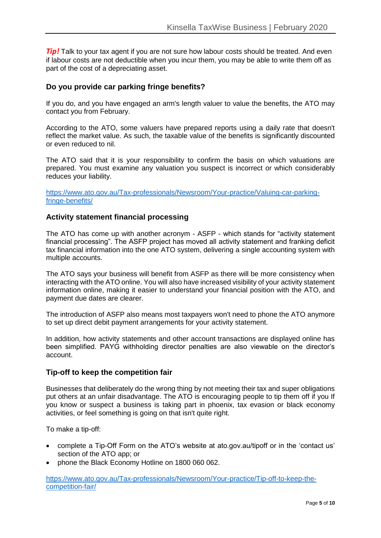**Tip!** Talk to your tax agent if you are not sure how labour costs should be treated. And even if labour costs are not deductible when you incur them, you may be able to write them off as part of the cost of a depreciating asset.

#### **Do you provide car parking fringe benefits?**

If you do, and you have engaged an arm's length valuer to value the benefits, the ATO may contact you from February.

According to the ATO, some valuers have prepared reports using a daily rate that doesn't reflect the market value. As such, the taxable value of the benefits is significantly discounted or even reduced to nil.

The ATO said that it is your responsibility to confirm the basis on which valuations are prepared. You must examine any valuation you suspect is incorrect or which considerably reduces your liability.

[https://www.ato.gov.au/Tax-professionals/Newsroom/Your-practice/Valuing-car-parking](https://www.ato.gov.au/Tax-professionals/Newsroom/Your-practice/Valuing-car-parking-fringe-benefits/)[fringe-benefits/](https://www.ato.gov.au/Tax-professionals/Newsroom/Your-practice/Valuing-car-parking-fringe-benefits/)

#### **Activity statement financial processing**

The ATO has come up with another acronym - ASFP - which stands for "activity statement financial processing". The ASFP project has moved all activity statement and franking deficit tax financial information into the one ATO system, delivering a single accounting system with multiple accounts.

The ATO says your business will benefit from ASFP as there will be more consistency when interacting with the ATO online. You will also have increased visibility of your activity statement information online, making it easier to understand your financial position with the ATO, and payment due dates are clearer.

The introduction of ASFP also means most taxpayers won't need to phone the ATO anymore to set up direct debit payment arrangements for your activity statement.

In addition, how activity statements and other account transactions are displayed online has been simplified. PAYG withholding director penalties are also viewable on the director's account.

#### **Tip-off to keep the competition fair**

Businesses that deliberately do the wrong thing by not meeting their tax and super obligations put others at an unfair disadvantage. The ATO is encouraging people to tip them off if you If you know or suspect a business is taking part in phoenix, tax evasion or black economy activities, or feel something is going on that isn't quite right.

To make a tip-off:

- complete a Tip-Off Form on the ATO's website at ato.gov.au/tipoff or in the 'contact us' section of the ATO app; or
- phone the Black Economy Hotline on 1800 060 062.

[https://www.ato.gov.au/Tax-professionals/Newsroom/Your-practice/Tip-off-to-keep-the](https://www.ato.gov.au/Tax-professionals/Newsroom/Your-practice/Tip-off-to-keep-the-competition-fair/)[competition-fair/](https://www.ato.gov.au/Tax-professionals/Newsroom/Your-practice/Tip-off-to-keep-the-competition-fair/)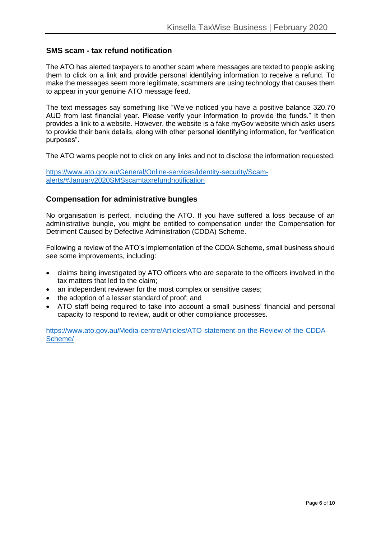#### **SMS scam - tax refund notification**

The ATO has alerted taxpayers to another scam where messages are texted to people asking them to click on a link and provide personal identifying information to receive a refund. To make the messages seem more legitimate, scammers are using technology that causes them to appear in your genuine ATO message feed.

The text messages say something like "We've noticed you have a positive balance 320.70 AUD from last financial year. Please verify your information to provide the funds." It then provides a link to a website. However, the website is a fake myGov website which asks users to provide their bank details, along with other personal identifying information, for "verification purposes".

The ATO warns people not to click on any links and not to disclose the information requested.

[https://www.ato.gov.au/General/Online-services/Identity-security/Scam](https://www.ato.gov.au/General/Online-services/Identity-security/Scam-alerts/#January2020SMSscamtaxrefundnotification)[alerts/#January2020SMSscamtaxrefundnotification](https://www.ato.gov.au/General/Online-services/Identity-security/Scam-alerts/#January2020SMSscamtaxrefundnotification)

#### **Compensation for administrative bungles**

No organisation is perfect, including the ATO. If you have suffered a loss because of an administrative bungle, you might be entitled to compensation under the Compensation for Detriment Caused by Defective Administration (CDDA) Scheme.

Following a review of the ATO's implementation of the CDDA Scheme, small business should see some improvements, including:

- claims being investigated by ATO officers who are separate to the officers involved in the tax matters that led to the claim;
- an independent reviewer for the most complex or sensitive cases;
- the adoption of a lesser standard of proof; and
- ATO staff being required to take into account a small business' financial and personal capacity to respond to review, audit or other compliance processes.

[https://www.ato.gov.au/Media-centre/Articles/ATO-statement-on-the-Review-of-the-CDDA-](https://www.ato.gov.au/Media-centre/Articles/ATO-statement-on-the-Review-of-the-CDDA-Scheme/)[Scheme/](https://www.ato.gov.au/Media-centre/Articles/ATO-statement-on-the-Review-of-the-CDDA-Scheme/)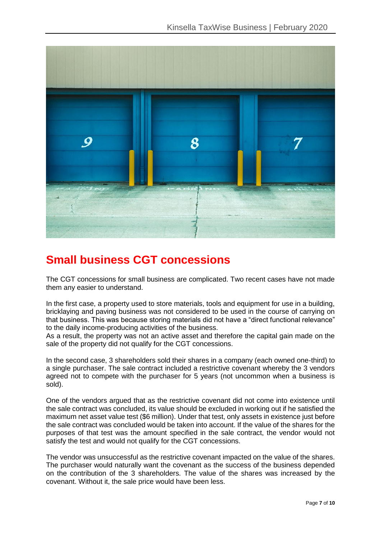

### **Small business CGT concessions**

The CGT concessions for small business are complicated. Two recent cases have not made them any easier to understand.

In the first case, a property used to store materials, tools and equipment for use in a building, bricklaying and paving business was not considered to be used in the course of carrying on that business. This was because storing materials did not have a "direct functional relevance" to the daily income-producing activities of the business.

As a result, the property was not an active asset and therefore the capital gain made on the sale of the property did not qualify for the CGT concessions.

In the second case, 3 shareholders sold their shares in a company (each owned one-third) to a single purchaser. The sale contract included a restrictive covenant whereby the 3 vendors agreed not to compete with the purchaser for 5 years (not uncommon when a business is sold).

One of the vendors argued that as the restrictive covenant did not come into existence until the sale contract was concluded, its value should be excluded in working out if he satisfied the maximum net asset value test (\$6 million). Under that test, only assets in existence just before the sale contract was concluded would be taken into account. If the value of the shares for the purposes of that test was the amount specified in the sale contract, the vendor would not satisfy the test and would not qualify for the CGT concessions.

The vendor was unsuccessful as the restrictive covenant impacted on the value of the shares. The purchaser would naturally want the covenant as the success of the business depended on the contribution of the 3 shareholders. The value of the shares was increased by the covenant. Without it, the sale price would have been less.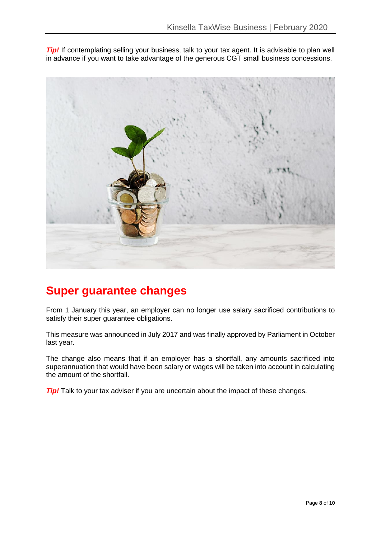**Tip!** If contemplating selling your business, talk to your tax agent. It is advisable to plan well in advance if you want to take advantage of the generous CGT small business concessions.



### **Super guarantee changes**

From 1 January this year, an employer can no longer use salary sacrificed contributions to satisfy their super quarantee obligations.

This measure was announced in July 2017 and was finally approved by Parliament in October last year.

The change also means that if an employer has a shortfall, any amounts sacrificed into superannuation that would have been salary or wages will be taken into account in calculating the amount of the shortfall.

*Tip!* Talk to your tax adviser if you are uncertain about the impact of these changes.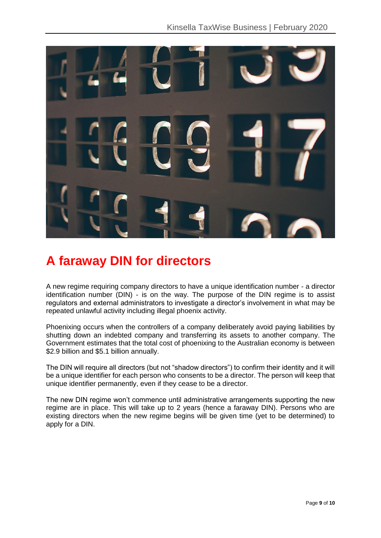

# **A faraway DIN for directors**

A new regime requiring company directors to have a unique identification number - a director identification number (DIN) - is on the way. The purpose of the DIN regime is to assist regulators and external administrators to investigate a director's involvement in what may be repeated unlawful activity including illegal phoenix activity.

Phoenixing occurs when the controllers of a company deliberately avoid paying liabilities by shutting down an indebted company and transferring its assets to another company. The Government estimates that the total cost of phoenixing to the Australian economy is between \$2.9 billion and \$5.1 billion annually.

The DIN will require all directors (but not "shadow directors") to confirm their identity and it will be a unique identifier for each person who consents to be a director. The person will keep that unique identifier permanently, even if they cease to be a director.

The new DIN regime won't commence until administrative arrangements supporting the new regime are in place. This will take up to 2 years (hence a faraway DIN). Persons who are existing directors when the new regime begins will be given time (yet to be determined) to apply for a DIN.